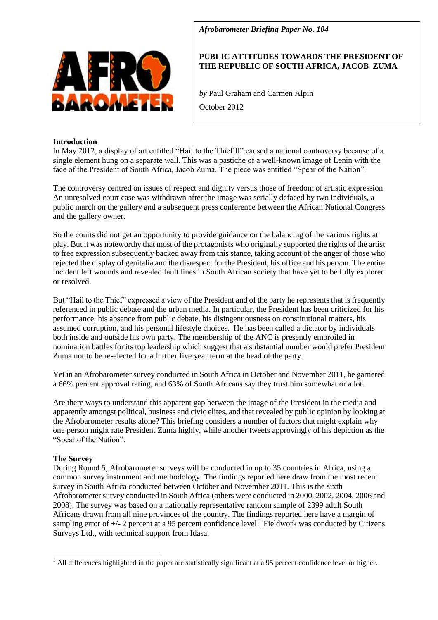

# *Afrobarometer Briefing Paper No. 104*

# **PUBLIC ATTITUDES TOWARDS THE PRESIDENT OF THE REPUBLIC OF SOUTH AFRICA, JACOB ZUMA**

*by* Paul Graham and Carmen Alpin

October 2012

## **Introduction**

In May 2012, a display of art entitled "Hail to the Thief II" caused a national controversy because of a single element hung on a separate wall. This was a pastiche of a well-known image of Lenin with the face of the President of South Africa, Jacob Zuma. The piece was entitled "Spear of the Nation".

The controversy centred on issues of respect and dignity versus those of freedom of artistic expression. An unresolved court case was withdrawn after the image was serially defaced by two individuals, a public march on the gallery and a subsequent press conference between the African National Congress and the gallery owner.

So the courts did not get an opportunity to provide guidance on the balancing of the various rights at play. But it was noteworthy that most of the protagonists who originally supported the rights of the artist to free expression subsequently backed away from this stance, taking account of the anger of those who rejected the display of genitalia and the disrespect for the President, his office and his person. The entire incident left wounds and revealed fault lines in South African society that have yet to be fully explored or resolved.

But "Hail to the Thief" expressed a view of the President and of the party he represents that is frequently referenced in public debate and the urban media. In particular, the President has been criticized for his performance, his absence from public debate, his disingenuousness on constitutional matters, his assumed corruption, and his personal lifestyle choices. He has been called a dictator by individuals both inside and outside his own party. The membership of the ANC is presently embroiled in nomination battles for its top leadership which suggest that a substantial number would prefer President Zuma not to be re-elected for a further five year term at the head of the party.

Yet in an Afrobarometer survey conducted in South Africa in October and November 2011, he garnered a 66% percent approval rating, and 63% of South Africans say they trust him somewhat or a lot.

Are there ways to understand this apparent gap between the image of the President in the media and apparently amongst political, business and civic elites, and that revealed by public opinion by looking at the Afrobarometer results alone? This briefing considers a number of factors that might explain why one person might rate President Zuma highly, while another tweets approvingly of his depiction as the "Spear of the Nation".

## **The Survey**

Ē,

During Round 5, Afrobarometer surveys will be conducted in up to 35 countries in Africa, using a common survey instrument and methodology. The findings reported here draw from the most recent survey in South Africa conducted between October and November 2011. This is the sixth Afrobarometer survey conducted in South Africa (others were conducted in 2000, 2002, 2004, 2006 and 2008). The survey was based on a nationally representative random sample of 2399 adult South Africans drawn from all nine provinces of the country. The findings reported here have a margin of sampling error of  $+/-$  2 percent at a 95 percent confidence level.<sup>1</sup> Fieldwork was conducted by Citizens Surveys Ltd., with technical support from Idasa.

<sup>&</sup>lt;sup>1</sup> All differences highlighted in the paper are statistically significant at a 95 percent confidence level or higher.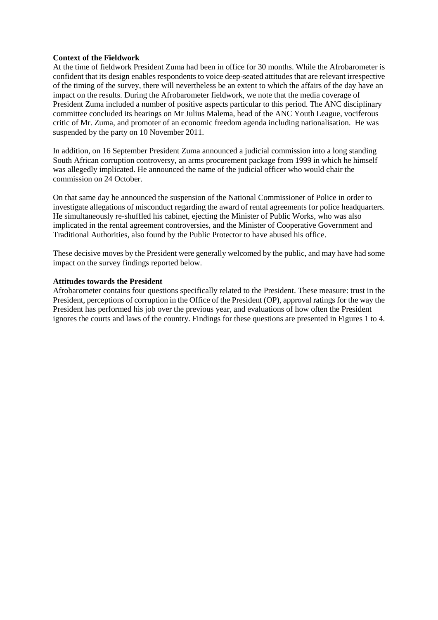### **Context of the Fieldwork**

At the time of fieldwork President Zuma had been in office for 30 months. While the Afrobarometer is confident that its design enables respondents to voice deep-seated attitudes that are relevant irrespective of the timing of the survey, there will nevertheless be an extent to which the affairs of the day have an impact on the results. During the Afrobarometer fieldwork, we note that the media coverage of President Zuma included a number of positive aspects particular to this period. The ANC disciplinary committee concluded its hearings on Mr Julius Malema, head of the ANC Youth League, vociferous critic of Mr. Zuma, and promoter of an economic freedom agenda including nationalisation. He was suspended by the party on 10 November 2011.

In addition, on 16 September President Zuma announced a judicial commission into a long standing South African corruption controversy, an arms procurement package from 1999 in which he himself was allegedly implicated. He announced the name of the judicial officer who would chair the commission on 24 October.

On that same day he announced the suspension of the National Commissioner of Police in order to investigate allegations of misconduct regarding the award of rental agreements for police headquarters. He simultaneously re-shuffled his cabinet, ejecting the Minister of Public Works, who was also implicated in the rental agreement controversies, and the Minister of Cooperative Government and Traditional Authorities, also found by the Public Protector to have abused his office.

These decisive moves by the President were generally welcomed by the public, and may have had some impact on the survey findings reported below.

#### **Attitudes towards the President**

Afrobarometer contains four questions specifically related to the President. These measure: trust in the President, perceptions of corruption in the Office of the President (OP), approval ratings for the way the President has performed his job over the previous year, and evaluations of how often the President ignores the courts and laws of the country. Findings for these questions are presented in Figures 1 to 4.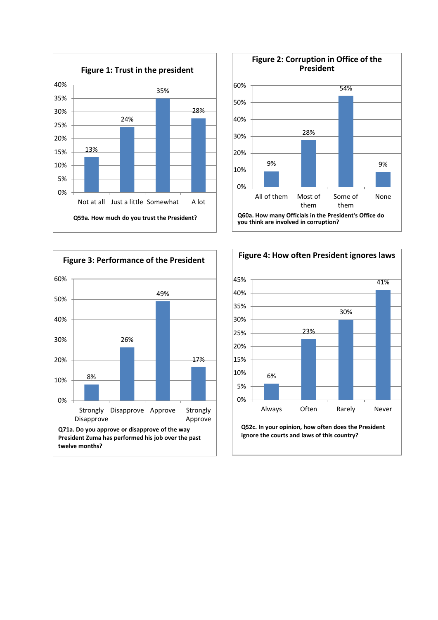





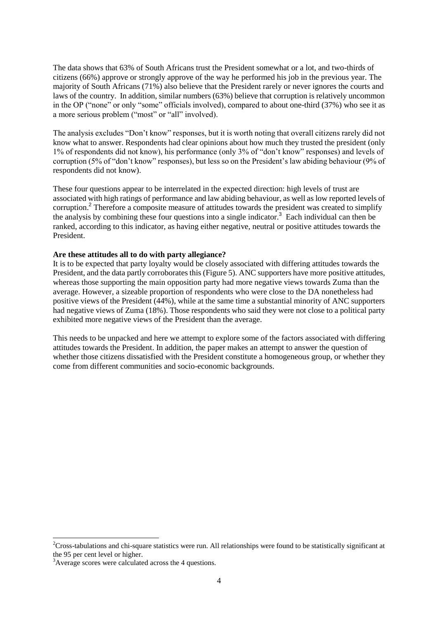The data shows that 63% of South Africans trust the President somewhat or a lot, and two-thirds of citizens (66%) approve or strongly approve of the way he performed his job in the previous year. The majority of South Africans (71%) also believe that the President rarely or never ignores the courts and laws of the country. In addition, similar numbers (63%) believe that corruption is relatively uncommon in the OP ("none" or only "some" officials involved), compared to about one-third (37%) who see it as a more serious problem ("most" or "all" involved).

The analysis excludes "Don't know" responses, but it is worth noting that overall citizens rarely did not know what to answer. Respondents had clear opinions about how much they trusted the president (only 1% of respondents did not know), his performance (only 3% of "don't know" responses) and levels of corruption (5% of "don't know" responses), but less so on the President's law abiding behaviour (9% of respondents did not know).

These four questions appear to be interrelated in the expected direction: high levels of trust are associated with high ratings of performance and law abiding behaviour, as well as low reported levels of corruption.<sup>2</sup> Therefore a composite measure of attitudes towards the president was created to simplify the analysis by combining these four questions into a single indicator.<sup>3</sup> Each individual can then be ranked, according to this indicator, as having either negative, neutral or positive attitudes towards the President.

#### **Are these attitudes all to do with party allegiance?**

It is to be expected that party loyalty would be closely associated with differing attitudes towards the President, and the data partly corroborates this (Figure 5). ANC supporters have more positive attitudes, whereas those supporting the main opposition party had more negative views towards Zuma than the average. However, a sizeable proportion of respondents who were close to the DA nonetheless had positive views of the President (44%), while at the same time a substantial minority of ANC supporters had negative views of Zuma (18%). Those respondents who said they were not close to a political party exhibited more negative views of the President than the average.

This needs to be unpacked and here we attempt to explore some of the factors associated with differing attitudes towards the President. In addition, the paper makes an attempt to answer the question of whether those citizens dissatisfied with the President constitute a homogeneous group, or whether they come from different communities and socio-economic backgrounds.

-

 $2C$ ross-tabulations and chi-square statistics were run. All relationships were found to be statistically significant at the 95 per cent level or higher.

<sup>3</sup>Average scores were calculated across the 4 questions.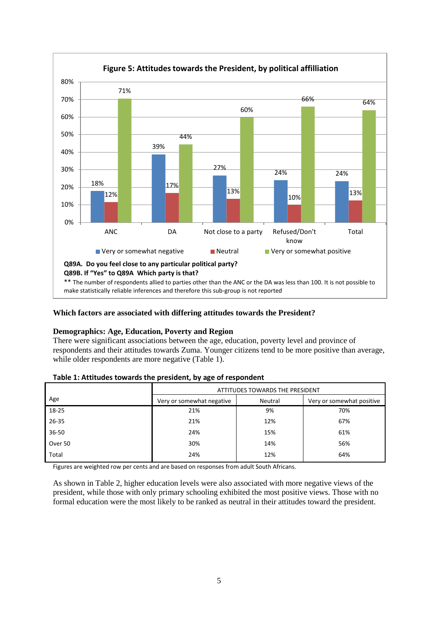

# **Which factors are associated with differing attitudes towards the President?**

# **Demographics: Age, Education, Poverty and Region**

There were significant associations between the age, education, poverty level and province of respondents and their attitudes towards Zuma. Younger citizens tend to be more positive than average, while older respondents are more negative (Table 1).

|  | Table 1: Attitudes towards the president, by age of respondent |
|--|----------------------------------------------------------------|
|--|----------------------------------------------------------------|

|           | ATTITUDES TOWARDS THE PRESIDENT |         |                           |
|-----------|---------------------------------|---------|---------------------------|
| Age       | Very or somewhat negative       | Neutral | Very or somewhat positive |
| 18-25     | 21%                             | 9%      | 70%                       |
| $26 - 35$ | 21%                             | 12%     | 67%                       |
| $36 - 50$ | 24%                             | 15%     | 61%                       |
| Over 50   | 30%                             | 14%     | 56%                       |
| Total     | 24%                             | 12%     | 64%                       |

Figures are weighted row per cents and are based on responses from adult South Africans.

As shown in Table 2, higher education levels were also associated with more negative views of the president, while those with only primary schooling exhibited the most positive views. Those with no formal education were the most likely to be ranked as neutral in their attitudes toward the president.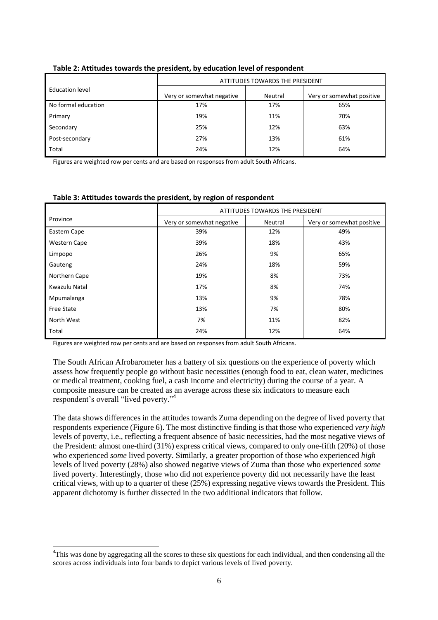|                     | ATTITUDES TOWARDS THE PRESIDENT |         |                           |
|---------------------|---------------------------------|---------|---------------------------|
| Education level     | Very or somewhat negative       | Neutral | Very or somewhat positive |
| No formal education | 17%                             | 17%     | 65%                       |
| Primary             | 19%                             | 11%     | 70%                       |
| Secondary           | 25%                             | 12%     | 63%                       |
| Post-secondary      | 27%                             | 13%     | 61%                       |
| Total               | 24%                             | 12%     | 64%                       |
|                     |                                 |         |                           |

## **Table 2: Attitudes towards the president, by education level of respondent**

Figures are weighted row per cents and are based on responses from adult South Africans.

|                     | <b>ATTITUDES TOWARDS THE PRESIDENT</b> |         |                           |
|---------------------|----------------------------------------|---------|---------------------------|
| Province            | Very or somewhat negative              | Neutral | Very or somewhat positive |
| Eastern Cape        | 39%                                    | 12%     | 49%                       |
| <b>Western Cape</b> | 39%                                    | 18%     | 43%                       |
| Limpopo             | 26%                                    | 9%      | 65%                       |
| Gauteng             | 24%                                    | 18%     | 59%                       |
| Northern Cape       | 19%                                    | 8%      | 73%                       |
| Kwazulu Natal       | 17%                                    | 8%      | 74%                       |
| Mpumalanga          | 13%                                    | 9%      | 78%                       |
| <b>Free State</b>   | 13%                                    | 7%      | 80%                       |
| North West          | 7%                                     | 11%     | 82%                       |
| Total               | 24%                                    | 12%     | 64%                       |

#### **Table 3: Attitudes towards the president, by region of respondent**

Figures are weighted row per cents and are based on responses from adult South Africans.

Ē,

The South African Afrobarometer has a battery of six questions on the experience of poverty which assess how frequently people go without basic necessities (enough food to eat, clean water, medicines or medical treatment, cooking fuel, a cash income and electricity) during the course of a year. A composite measure can be created as an average across these six indicators to measure each respondent's overall "lived poverty."<sup>4</sup>

The data shows differences in the attitudes towards Zuma depending on the degree of lived poverty that respondents experience (Figure 6). The most distinctive finding is that those who experienced *very high* levels of poverty, i.e., reflecting a frequent absence of basic necessities, had the most negative views of the President: almost one-third (31%) express critical views, compared to only one-fifth (20%) of those who experienced *some* lived poverty. Similarly, a greater proportion of those who experienced *high* levels of lived poverty (28%) also showed negative views of Zuma than those who experienced *some* lived poverty. Interestingly, those who did not experience poverty did not necessarily have the least critical views, with up to a quarter of these (25%) expressing negative views towards the President. This apparent dichotomy is further dissected in the two additional indicators that follow.

<sup>&</sup>lt;sup>4</sup>This was done by aggregating all the scores to these six questions for each individual, and then condensing all the scores across individuals into four bands to depict various levels of lived poverty.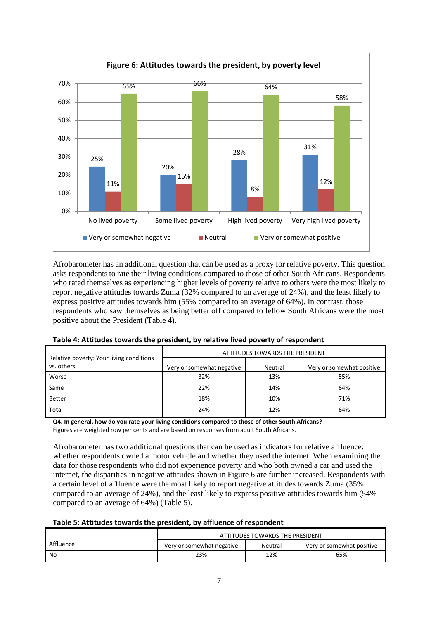

Afrobarometer has an additional question that can be used as a proxy for relative poverty. This question asks respondents to rate their living conditions compared to those of other South Africans. Respondents who rated themselves as experiencing higher levels of poverty relative to others were the most likely to report negative attitudes towards Zuma (32% compared to an average of 24%), and the least likely to express positive attitudes towards him (55% compared to an average of 64%). In contrast, those respondents who saw themselves as being better off compared to fellow South Africans were the most positive about the President (Table 4).

|                                                        | ATTITUDES TOWARDS THE PRESIDENT |         |                           |
|--------------------------------------------------------|---------------------------------|---------|---------------------------|
| Relative poverty: Your living conditions<br>vs. others | Very or somewhat negative       | Neutral | Very or somewhat positive |
| Worse                                                  | 32%                             | 13%     | 55%                       |
| Same                                                   | 22%                             | 14%     | 64%                       |
| <b>Better</b>                                          | 18%                             | 10%     | 71%                       |
| Total                                                  | 24%                             | 12%     | 64%                       |

## **Table 4: Attitudes towards the president, by relative lived poverty of respondent**

**Q4. In general, how do you rate your living conditions compared to those of other South Africans?** Figures are weighted row per cents and are based on responses from adult South Africans.

Afrobarometer has two additional questions that can be used as indicators for relative affluence: whether respondents owned a motor vehicle and whether they used the internet. When examining the data for those respondents who did not experience poverty and who both owned a car and used the internet, the disparities in negative attitudes shown in Figure 6 are further increased. Respondents with a certain level of affluence were the most likely to report negative attitudes towards Zuma (35% compared to an average of 24%), and the least likely to express positive attitudes towards him (54% compared to an average of 64%) (Table 5).

## **Table 5: Attitudes towards the president, by affluence of respondent**

|           | ATTITUDES TOWARDS THE PRESIDENT |         |                           |
|-----------|---------------------------------|---------|---------------------------|
| Affluence | Very or somewhat negative       | Neutral | Very or somewhat positive |
| No        | 23%                             | 12%     | 65%                       |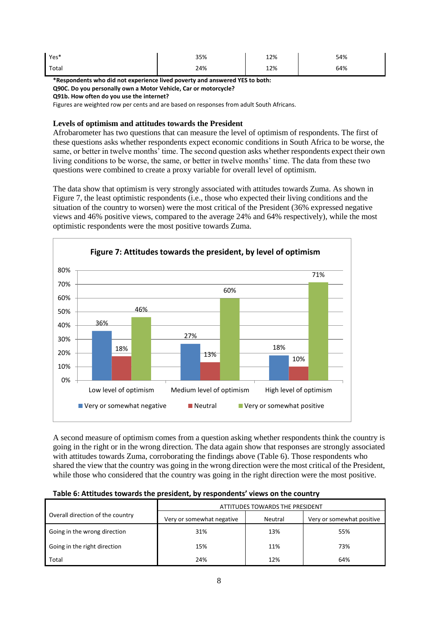| Yes*  | 35% | 12% | 54% |
|-------|-----|-----|-----|
| Total | 24% | 12% | 64% |

**\*Respondents who did not experience lived poverty and answered YES to both:**

**Q90C. Do you personally own a Motor Vehicle, Car or motorcycle?** 

**Q91b. How often do you use the internet?**

Figures are weighted row per cents and are based on responses from adult South Africans.

## **Levels of optimism and attitudes towards the President**

Afrobarometer has two questions that can measure the level of optimism of respondents. The first of these questions asks whether respondents expect economic conditions in South Africa to be worse, the same, or better in twelve months' time. The second question asks whether respondents expect their own living conditions to be worse, the same, or better in twelve months' time. The data from these two questions were combined to create a proxy variable for overall level of optimism.

The data show that optimism is very strongly associated with attitudes towards Zuma. As shown in Figure 7, the least optimistic respondents (i.e., those who expected their living conditions and the situation of the country to worsen) were the most critical of the President (36% expressed negative views and 46% positive views, compared to the average 24% and 64% respectively), while the most optimistic respondents were the most positive towards Zuma.



A second measure of optimism comes from a question asking whether respondents think the country is going in the right or in the wrong direction. The data again show that responses are strongly associated with attitudes towards Zuma, corroborating the findings above (Table 6). Those respondents who shared the view that the country was going in the wrong direction were the most critical of the President, while those who considered that the country was going in the right direction were the most positive.

| Table 6: Attitudes towards the president, by respondents' views on the country |  |
|--------------------------------------------------------------------------------|--|
|                                                                                |  |

|                                  | ATTITUDES TOWARDS THE PRESIDENT |         |                           |
|----------------------------------|---------------------------------|---------|---------------------------|
| Overall direction of the country | Very or somewhat negative       | Neutral | Very or somewhat positive |
| Going in the wrong direction     | 31%                             | 13%     | 55%                       |
| Going in the right direction     | 15%                             | 11%     | 73%                       |
| Total                            | 24%                             | 12%     | 64%                       |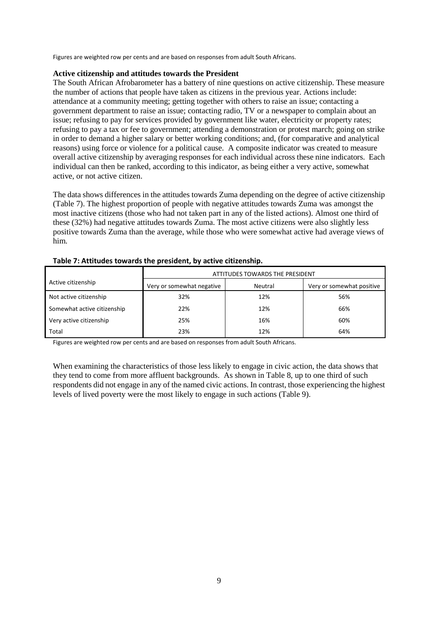Figures are weighted row per cents and are based on responses from adult South Africans.

### **Active citizenship and attitudes towards the President**

The South African Afrobarometer has a battery of nine questions on active citizenship. These measure the number of actions that people have taken as citizens in the previous year. Actions include: attendance at a community meeting; getting together with others to raise an issue; contacting a government department to raise an issue; contacting radio, TV or a newspaper to complain about an issue; refusing to pay for services provided by government like water, electricity or property rates; refusing to pay a tax or fee to government; attending a demonstration or protest march; going on strike in order to demand a higher salary or better working conditions; and, (for comparative and analytical reasons) using force or violence for a political cause. A composite indicator was created to measure overall active citizenship by averaging responses for each individual across these nine indicators. Each individual can then be ranked, according to this indicator, as being either a very active, somewhat active, or not active citizen.

The data shows differences in the attitudes towards Zuma depending on the degree of active citizenship (Table 7). The highest proportion of people with negative attitudes towards Zuma was amongst the most inactive citizens (those who had not taken part in any of the listed actions). Almost one third of these (32%) had negative attitudes towards Zuma. The most active citizens were also slightly less positive towards Zuma than the average, while those who were somewhat active had average views of him.

|                             | ATTITUDES TOWARDS THE PRESIDENT |         |                           |
|-----------------------------|---------------------------------|---------|---------------------------|
| Active citizenship          | Very or somewhat negative       | Neutral | Very or somewhat positive |
| Not active citizenship      | 32%                             | 12%     | 56%                       |
| Somewhat active citizenship | 22%                             | 12%     | 66%                       |
| Very active citizenship     | 25%                             | 16%     | 60%                       |
| Total                       | 23%                             | 12%     | 64%                       |

#### **Table 7: Attitudes towards the president, by active citizenship.**

Figures are weighted row per cents and are based on responses from adult South Africans.

When examining the characteristics of those less likely to engage in civic action, the data shows that they tend to come from more affluent backgrounds. As shown in Table 8, up to one third of such respondents did not engage in any of the named civic actions. In contrast, those experiencing the highest levels of lived poverty were the most likely to engage in such actions (Table 9).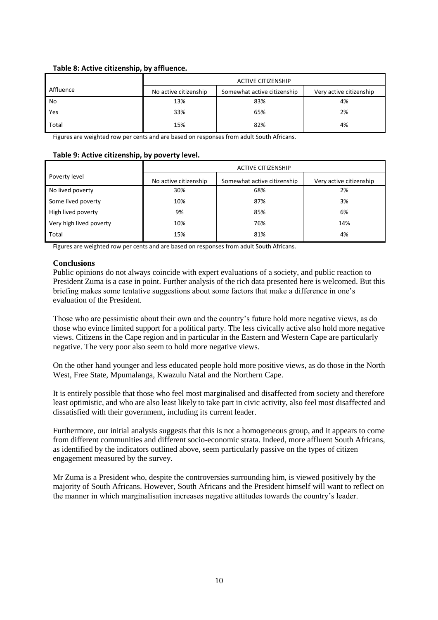## **Table 8: Active citizenship, by affluence.**

|           | <b>ACTIVE CITIZENSHIP</b> |                             |                         |
|-----------|---------------------------|-----------------------------|-------------------------|
| Affluence | No active citizenship     | Somewhat active citizenship | Very active citizenship |
| No        | 13%                       | 83%                         | 4%                      |
| Yes       | 33%                       | 65%                         | 2%                      |
| Total     | 15%                       | 82%                         | 4%                      |

Figures are weighted row per cents and are based on responses from adult South Africans.

### **Table 9: Active citizenship, by poverty level.**

|                         | <b>ACTIVE CITIZENSHIP</b> |                             |                         |
|-------------------------|---------------------------|-----------------------------|-------------------------|
| Poverty level           | No active citizenship     | Somewhat active citizenship | Very active citizenship |
| No lived poverty        | 30%                       | 68%                         | 2%                      |
| Some lived poverty      | 10%                       | 87%                         | 3%                      |
| High lived poverty      | 9%                        | 85%                         | 6%                      |
| Very high lived poverty | 10%                       | 76%                         | 14%                     |
| Total                   | 15%                       | 81%                         | 4%                      |

Figures are weighted row per cents and are based on responses from adult South Africans.

## **Conclusions**

Public opinions do not always coincide with expert evaluations of a society, and public reaction to President Zuma is a case in point. Further analysis of the rich data presented here is welcomed. But this briefing makes some tentative suggestions about some factors that make a difference in one's evaluation of the President.

Those who are pessimistic about their own and the country's future hold more negative views, as do those who evince limited support for a political party. The less civically active also hold more negative views. Citizens in the Cape region and in particular in the Eastern and Western Cape are particularly negative. The very poor also seem to hold more negative views.

On the other hand younger and less educated people hold more positive views, as do those in the North West, Free State, Mpumalanga, Kwazulu Natal and the Northern Cape.

It is entirely possible that those who feel most marginalised and disaffected from society and therefore least optimistic, and who are also least likely to take part in civic activity, also feel most disaffected and dissatisfied with their government, including its current leader.

Furthermore, our initial analysis suggests that this is not a homogeneous group, and it appears to come from different communities and different socio-economic strata. Indeed, more affluent South Africans, as identified by the indicators outlined above, seem particularly passive on the types of citizen engagement measured by the survey.

Mr Zuma is a President who, despite the controversies surrounding him, is viewed positively by the majority of South Africans. However, South Africans and the President himself will want to reflect on the manner in which marginalisation increases negative attitudes towards the country's leader.